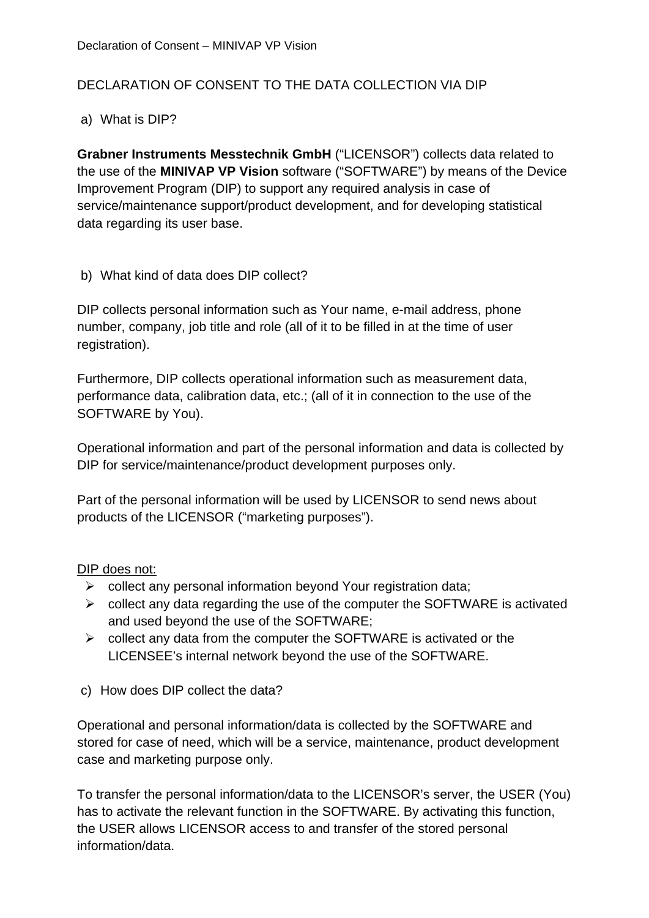# DECLARATION OF CONSENT TO THE DATA COLLECTION VIA DIP

## a) What is DIP?

**Grabner Instruments Messtechnik GmbH** ("LICENSOR") collects data related to the use of the **MINIVAP VP Vision** software ("SOFTWARE") by means of the Device Improvement Program (DIP) to support any required analysis in case of service/maintenance support/product development, and for developing statistical data regarding its user base.

b) What kind of data does DIP collect?

DIP collects personal information such as Your name, e-mail address, phone number, company, job title and role (all of it to be filled in at the time of user registration).

Furthermore, DIP collects operational information such as measurement data, performance data, calibration data, etc.; (all of it in connection to the use of the SOFTWARE by You).

Operational information and part of the personal information and data is collected by DIP for service/maintenance/product development purposes only.

Part of the personal information will be used by LICENSOR to send news about products of the LICENSOR ("marketing purposes").

### DIP does not:

- $\triangleright$  collect any personal information beyond Your registration data;
- $\triangleright$  collect any data regarding the use of the computer the SOFTWARE is activated and used beyond the use of the SOFTWARE;
- $\triangleright$  collect any data from the computer the SOFTWARE is activated or the LICENSEE's internal network beyond the use of the SOFTWARE.
- c) How does DIP collect the data?

Operational and personal information/data is collected by the SOFTWARE and stored for case of need, which will be a service, maintenance, product development case and marketing purpose only.

To transfer the personal information/data to the LICENSOR's server, the USER (You) has to activate the relevant function in the SOFTWARE. By activating this function, the USER allows LICENSOR access to and transfer of the stored personal information/data.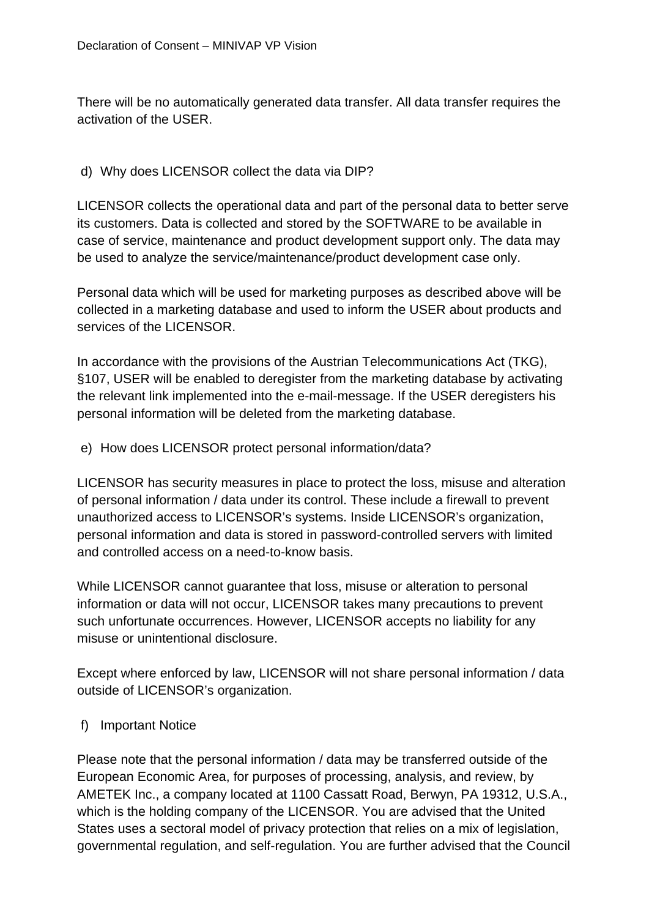There will be no automatically generated data transfer. All data transfer requires the activation of the USER.

#### d) Why does LICENSOR collect the data via DIP?

LICENSOR collects the operational data and part of the personal data to better serve its customers. Data is collected and stored by the SOFTWARE to be available in case of service, maintenance and product development support only. The data may be used to analyze the service/maintenance/product development case only.

Personal data which will be used for marketing purposes as described above will be collected in a marketing database and used to inform the USER about products and services of the LICENSOR.

In accordance with the provisions of the Austrian Telecommunications Act (TKG), §107, USER will be enabled to deregister from the marketing database by activating the relevant link implemented into the e-mail-message. If the USER deregisters his personal information will be deleted from the marketing database.

#### e) How does LICENSOR protect personal information/data?

LICENSOR has security measures in place to protect the loss, misuse and alteration of personal information / data under its control. These include a firewall to prevent unauthorized access to LICENSOR's systems. Inside LICENSOR's organization, personal information and data is stored in password-controlled servers with limited and controlled access on a need-to-know basis.

While LICENSOR cannot guarantee that loss, misuse or alteration to personal information or data will not occur, LICENSOR takes many precautions to prevent such unfortunate occurrences. However, LICENSOR accepts no liability for any misuse or unintentional disclosure.

Except where enforced by law, LICENSOR will not share personal information / data outside of LICENSOR's organization.

### f) Important Notice

Please note that the personal information / data may be transferred outside of the European Economic Area, for purposes of processing, analysis, and review, by AMETEK Inc., a company located at 1100 Cassatt Road, Berwyn, PA 19312, U.S.A., which is the holding company of the LICENSOR. You are advised that the United States uses a sectoral model of privacy protection that relies on a mix of legislation, governmental regulation, and self-regulation. You are further advised that the Council